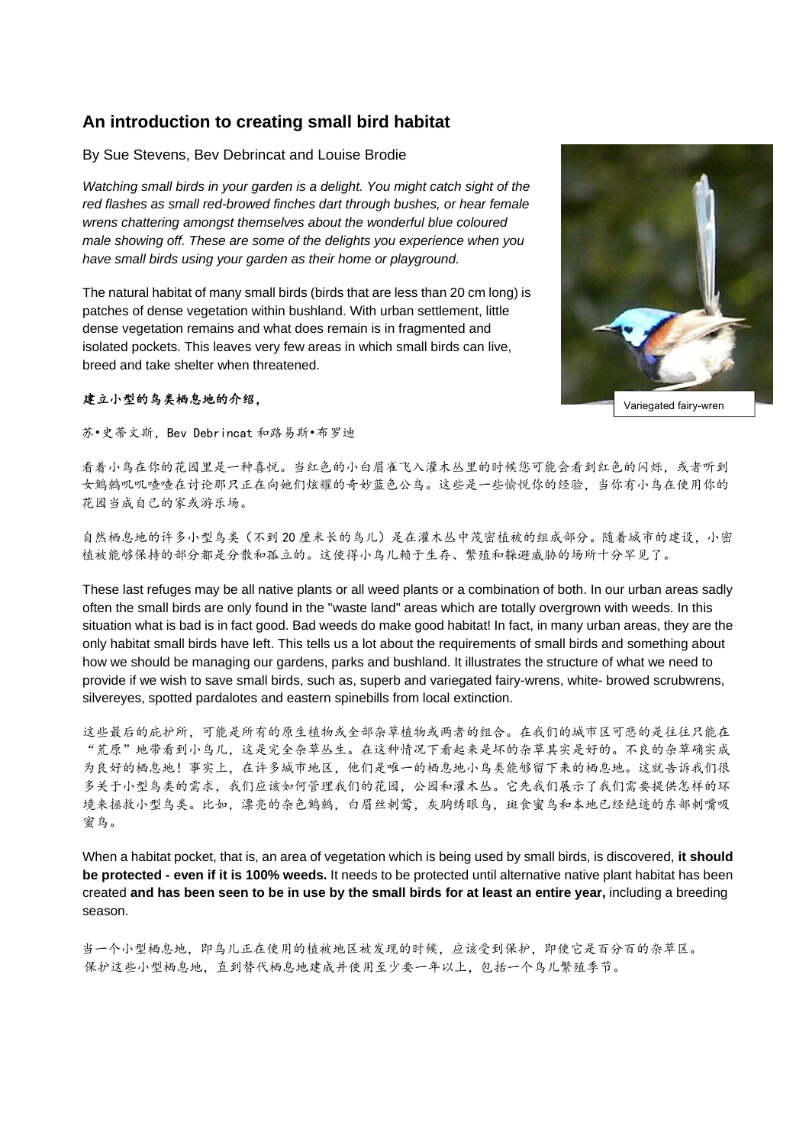# **An introduction to creating small bird habitat**

By Sue Stevens, Bev Debrincat and Louise Brodie

*Watching small birds in your garden is a delight. You might catch sight of the red flashes as small red-browed finches dart through bushes, or hear female wrens chattering amongst themselves about the wonderful blue coloured male showing off. These are some of the delights you experience when you have small birds using your garden as their home or playground.* 

The natural habitat of many small birds (birds that are less than 20 cm long) is patches of dense vegetation within bushland. With urban settlement, little dense vegetation remains and what does remain is in fragmented and isolated pockets. This leaves very few areas in which small birds can live, breed and take shelter when threatened.

# 建立小型的鸟类栖息地的介绍,

苏•史蒂文斯,Bev Debrincat 和路易斯•布罗迪

看着小鸟在你的花园里是一种喜悦。当红色的小白眉雀飞入灌木丛里的时候您可能会看到红色的闪烁,或者听到 女鹪鹩叽叽喳喳在讨论那只正在向她们炫耀的奇妙蓝色公鸟。这些是一些愉悦你的经验,当你有小鸟在使用你的 花园当成自己的家或游乐场。

自然栖息地的许多小型鸟类(不到 20 厘米长的鸟儿)是在灌木丛中茂密植被的组成部分。随着城市的建设,小密 植被能够保持的部分都是分散和孤立的。这使得小鸟儿赖于生存、繁殖和躲避威胁的场所十分罕见了。

These last refuges may be all native plants or all weed plants or a combination of both. In our urban areas sadly often the small birds are only found in the "waste land" areas which are totally overgrown with weeds. In this situation what is bad is in fact good. Bad weeds do make good habitat! In fact, in many urban areas, they are the only habitat small birds have left. This tells us a lot about the requirements of small birds and something about how we should be managing our gardens, parks and bushland. It illustrates the structure of what we need to provide if we wish to save small birds, such as, superb and variegated fairy-wrens, white- browed scrubwrens, silvereyes, spotted pardalotes and eastern spinebills from local extinction.

这些最后的庇护所,可能是所有的原生植物或全部杂草植物或两者的组合。在我们的城市区可悲的是往往只能在 "荒原"地带看到小鸟儿,这是完全杂草丛生。在这种情况下看起来是坏的杂草其实是好的。不良的杂草确实成 为良好的栖息地!事实上,在许多城市地区,他们是唯一的栖息地小鸟类能够留下来的栖息地。这就告诉我们很 多关于小型鸟类的需求,我们应该如何管理我们的花园,公园和灌木丛。它先我们展示了我们需要提供怎样的环 境来拯救小型鸟类。比如,漂亮的杂色鹪鹩,白眉丝刺莺,灰胸绣眼鸟,斑食蜜鸟和本地已经绝迹的东部刺嘴吸 蜜鸟。

When a habitat pocket, that is, an area of vegetation which is being used by small birds, is discovered, **it should be protected - even if it is 100% weeds.** It needs to be protected until alternative native plant habitat has been created **and has been seen to be in use by the small birds for at least an entire year,** including a breeding season.

当一个小型栖息地,即鸟儿正在使用的植被地区被发现的时候,应该受到保护,即使它是百分百的杂草区。 保护这些小型栖息地,直到替代栖息地建成并使用至少要一年以上,包括一个鸟儿繁殖季节。



Variegated fairy-wren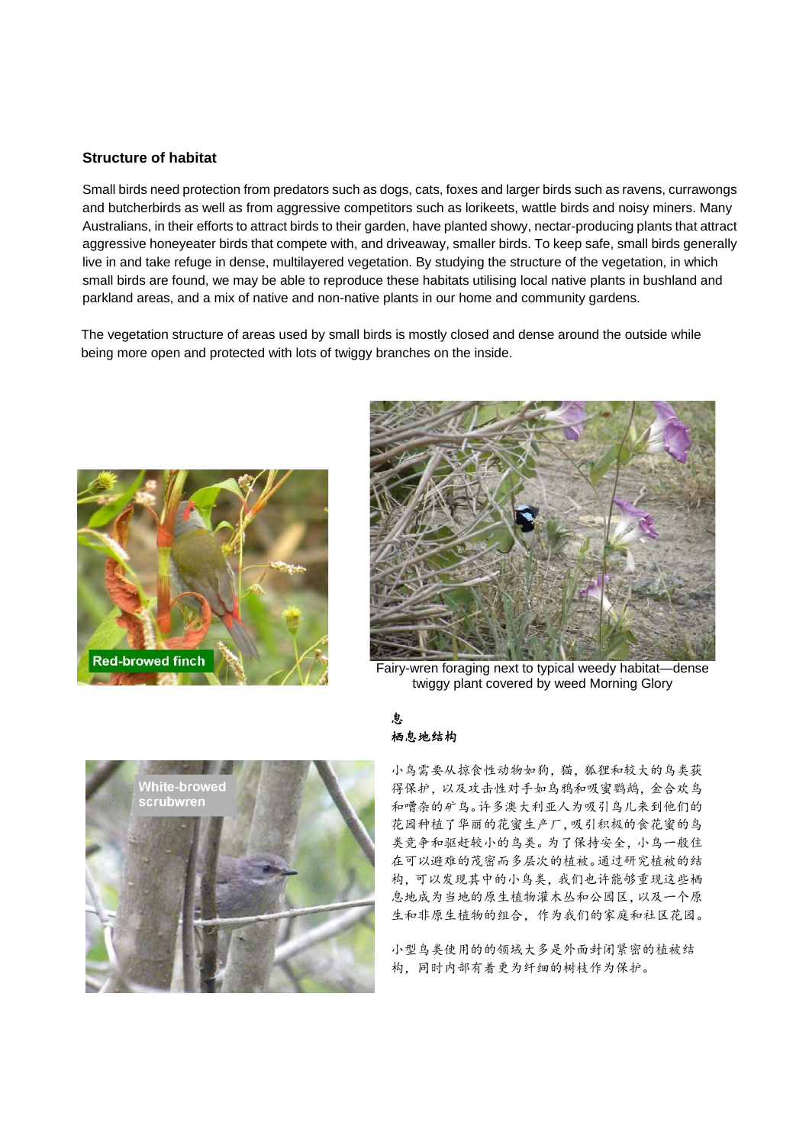### **Structure of habitat**

Small birds need protection from predators such as dogs, cats, foxes and larger birds such as ravens, currawongs and butcherbirds as well as from aggressive competitors such as lorikeets, wattle birds and noisy miners. Many Australians, in their efforts to attract birds to their garden, have planted showy, nectar-producing plants that attract aggressive honeyeater birds that compete with, and driveaway, smaller birds. To keep safe, small birds generally live in and take refuge in dense, multilayered vegetation. By studying the structure of the vegetation, in which small birds are found, we may be able to reproduce these habitats utilising local native plants in bushland and parkland areas, and a mix of native and non-native plants in our home and community gardens.

The vegetation structure of areas used by small birds is mostly closed and dense around the outside while being more open and protected with lots of twiggy branches on the inside.





Fairy-wren foraging next to typical weedy habitat—dense twiggy plant covered by weed Morning Glory



### 息 栖息地结构

小鸟需要从掠食性动物如狗,猫,狐狸和较大的鸟类获 得保护,以及攻击性对手如乌鸦和吸蜜鹦鹉,金合欢鸟 和嘈杂的矿鸟。许多澳大利亚人为吸引鸟儿来到他们的 花园种植了华丽的花蜜生产厂,吸引积极的食花蜜的鸟 类竞争和驱赶较小的鸟类。为了保持安全,小鸟一般住 在可以避难的茂密而多层次的植被。通过研究植被的结 构,可以发现其中的小鸟类,我们也许能够重现这些栖 息地成为当地的原生植物灌木丛和公园区,以及一个原 生和非原生植物的组合,作为我们的家庭和社区花园。

小型鸟类使用的的领域大多是外面封闭紧密的植被结 构,同时内部有着更为纤细的树枝作为保护。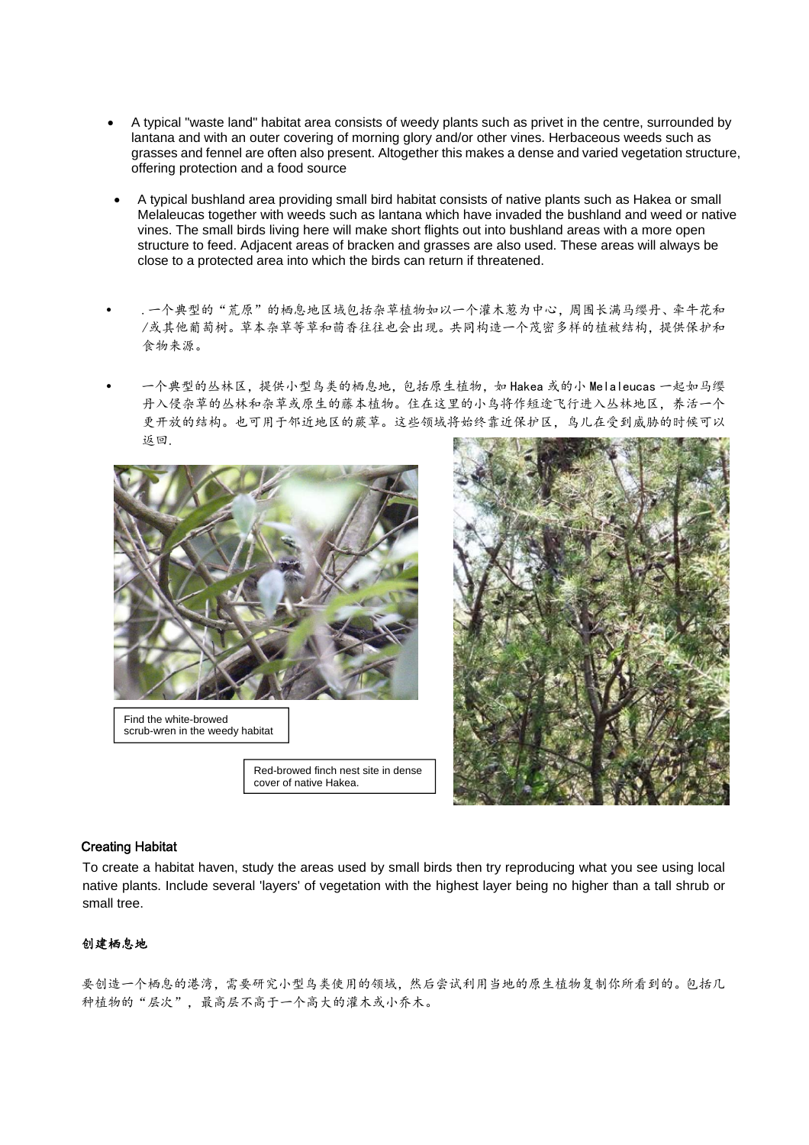- A typical "waste land" habitat area consists of weedy plants such as privet in the centre, surrounded by lantana and with an outer covering of morning glory and/or other vines. Herbaceous weeds such as grasses and fennel are often also present. Altogether this makes a dense and varied vegetation structure, offering protection and a food source
- A typical bushland area providing small bird habitat consists of native plants such as Hakea or small Melaleucas together with weeds such as lantana which have invaded the bushland and weed or native vines. The small birds living here will make short flights out into bushland areas with a more open structure to feed. Adjacent areas of bracken and grasses are also used. These areas will always be close to a protected area into which the birds can return if threatened.
- .一个典型的"荒原"的栖息地区域包括杂草植物如以一个灌木葱为中心,周围长满马缨丹、牵牛花和 /或其他葡萄树。草本杂草等草和茴香往往也会出现。共同构造一个茂密多样的植被结构,提供保护和 食物来源。
- 一个典型的丛林区,提供小型鸟类的栖息地,包括原生植物,如 Hakea 或的小 Melaleucas 一起如马缨 丹入侵杂草的丛林和杂草或原生的藤本植物。住在这里的小鸟将作短途飞行进入丛林地区,养活一个 更开放的结构。也可用于邻近地区的蕨草。这些领域将始终靠近保护区,鸟儿在受到威胁的时候可以 返回.



Find the white-browed scrub-wren in the weedy habitat

Red-browed finch nest site in dense cover of native Hakea.



#### Creating Habitat

To create a habitat haven, study the areas used by small birds then try reproducing what you see using local native plants. Include several 'layers' of vegetation with the highest layer being no higher than a tall shrub or small tree.

# 创建栖息地

要创造一个栖息的港湾,需要研究小型鸟类使用的领域,然后尝试利用当地的原生植物复制你所看到的。包括几 种植物的"层次",最高层不高于一个高大的灌木或小乔木。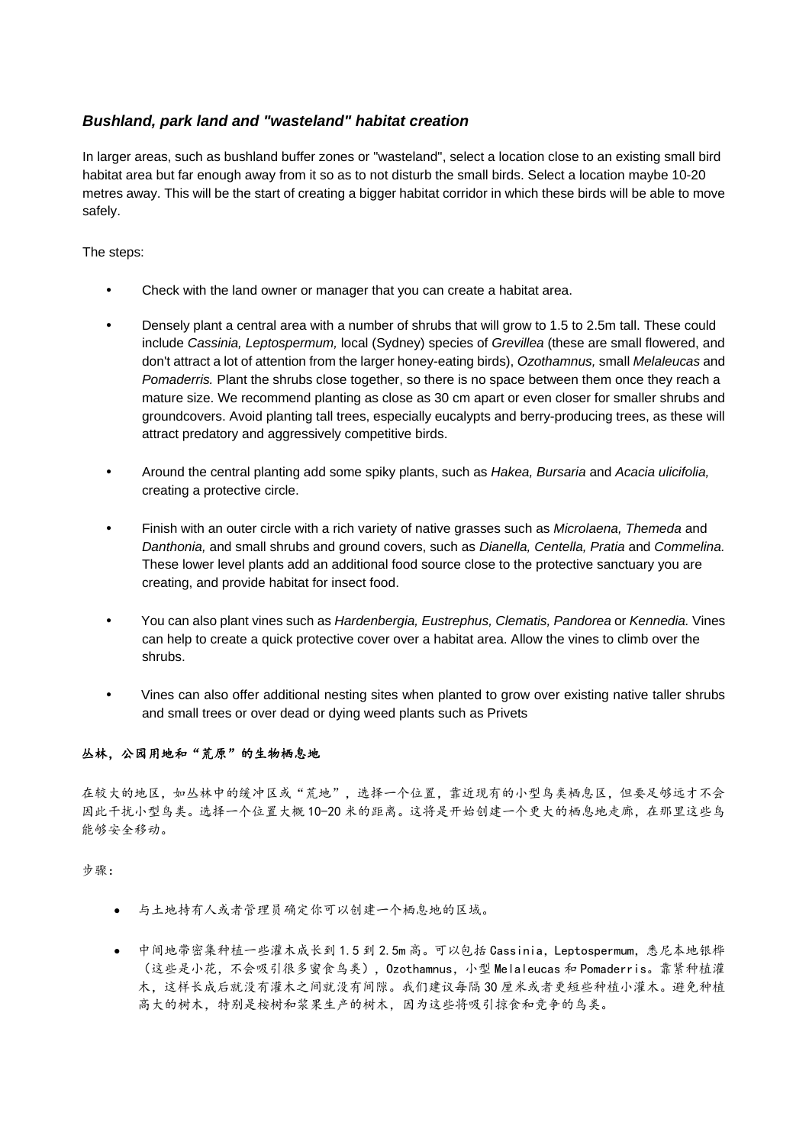# *Bushland, park land and "wasteland" habitat creation*

In larger areas, such as bushland buffer zones or "wasteland", select a location close to an existing small bird habitat area but far enough away from it so as to not disturb the small birds. Select a location maybe 10-20 metres away. This will be the start of creating a bigger habitat corridor in which these birds will be able to move safely.

### The steps:

- Check with the land owner or manager that you can create a habitat area.
- Densely plant a central area with a number of shrubs that will grow to 1.5 to 2.5m tall. These could include *Cassinia, Leptospermum,* local (Sydney) species of *Grevillea* (these are small flowered, and don't attract a lot of attention from the larger honey-eating birds), *Ozothamnus,* small *Melaleucas* and *Pomaderris.* Plant the shrubs close together, so there is no space between them once they reach a mature size. We recommend planting as close as 30 cm apart or even closer for smaller shrubs and groundcovers. Avoid planting tall trees, especially eucalypts and berry-producing trees, as these will attract predatory and aggressively competitive birds.
- Around the central planting add some spiky plants, such as *Hakea, Bursaria* and *Acacia ulicifolia,* creating a protective circle.
- Finish with an outer circle with a rich variety of native grasses such as *Microlaena, Themeda* and *Danthonia,* and small shrubs and ground covers, such as *Dianella, Centella, Pratia* and *Commelina.* These lower level plants add an additional food source close to the protective sanctuary you are creating, and provide habitat for insect food.
- You can also plant vines such as *Hardenbergia, Eustrephus, Clematis, Pandorea* or *Kennedia.* Vines can help to create a quick protective cover over a habitat area. Allow the vines to climb over the shrubs.
- Vines can also offer additional nesting sites when planted to grow over existing native taller shrubs and small trees or over dead or dying weed plants such as Privets

# 丛林,公园用地和"荒原"的生物栖息地

在较大的地区,如丛林中的缓冲区或"荒地",选择一个位置,靠近现有的小型鸟类栖息区,但要足够远才不会 因此干扰小型鸟类。选择一个位置大概 10-20 米的距离。这将是开始创建一个更大的栖息地走廊,在那里这些鸟 能够安全移动。

#### 步骤:

- 与土地持有人或者管理员确定你可以创建一个栖息地的区域。
- 中间地带密集种植一些灌木成长到 1.5 到 2.5m 高。可以包括 Cassinia, Leptospermum, 悉尼本地银桦 (这些是小花,不会吸引很多蜜食鸟类),Ozothamnus,小型 Melaleucas 和 Pomaderris。靠紧种植灌 木,这样长成后就没有灌木之间就没有间隙。我们建议每隔 30 厘米或者更短些种植小灌木。避免种植 高大的树木,特别是桉树和浆果生产的树木,因为这些将吸引掠食和竞争的鸟类。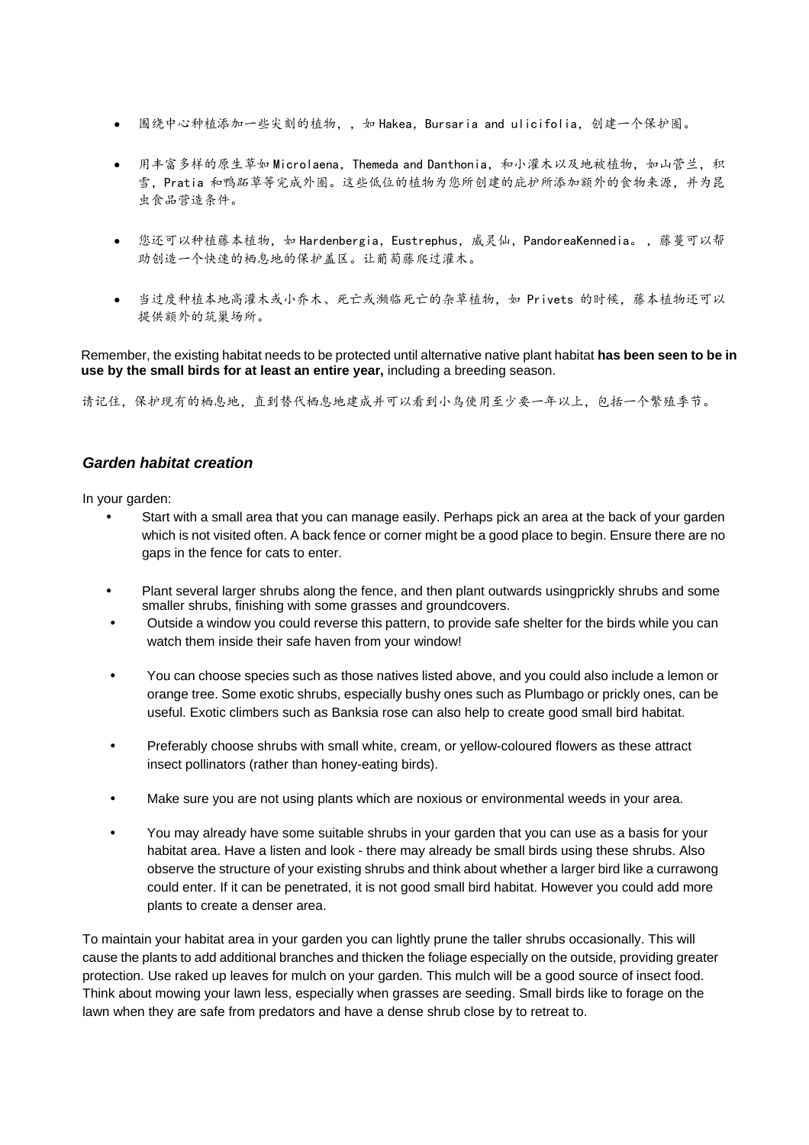- 围绕中心种植添加一些尖刻的植物,, 如 Hakea, Bursaria and ulicifolia, 创建一个保护圈。
- 用丰富多样的原生草如 Microlaena, Themeda and Danthonia, 和小灌木以及地被植物, 如山菅兰, 积 雪,Pratia 和鸭跖草等完成外圈。这些低位的植物为您所创建的庇护所添加额外的食物来源,并为昆 虫食品营造条件。
- 您还可以种植藤本植物, 如 Hardenbergia, Eustrephus, 威灵仙, PandoreaKennedia。, 藤蔓可以帮 助创造一个快速的栖息地的保护盖区。让葡萄藤爬过灌木。
- 当过度种植本地高灌木或小乔木、死亡或濒临死亡的杂草植物,如 Privets 的时候,藤本植物还可以 提供额外的筑巢场所。

Remember, the existing habitat needs to be protected until alternative native plant habitat **has been seen to be in use by the small birds for at least an entire year,** including a breeding season.

请记住,保护现有的栖息地,直到替代栖息地建成并可以看到小鸟使用至少要一年以上,包括一个繁殖季节。

# *Garden habitat creation*

In your garden:

- Start with a small area that you can manage easily. Perhaps pick an area at the back of your garden which is not visited often. A back fence or corner might be a good place to begin. Ensure there are no gaps in the fence for cats to enter.
- Plant several larger shrubs along the fence, and then plant outwards usingprickly shrubs and some smaller shrubs, finishing with some grasses and groundcovers.
- Outside a window you could reverse this pattern, to provide safe shelter for the birds while you can watch them inside their safe haven from your window!
- You can choose species such as those natives listed above, and you could also include a lemon or orange tree. Some exotic shrubs, especially bushy ones such as Plumbago or prickly ones, can be useful. Exotic climbers such as Banksia rose can also help to create good small bird habitat.
- Preferably choose shrubs with small white, cream, or yellow-coloured flowers as these attract insect pollinators (rather than honey-eating birds).
- Make sure you are not using plants which are noxious or environmental weeds in your area.
- You may already have some suitable shrubs in your garden that you can use as a basis for your habitat area. Have a listen and look - there may already be small birds using these shrubs. Also observe the structure of your existing shrubs and think about whether a larger bird like a currawong could enter. If it can be penetrated, it is not good small bird habitat. However you could add more plants to create a denser area.

To maintain your habitat area in your garden you can lightly prune the taller shrubs occasionally. This will cause the plants to add additional branches and thicken the foliage especially on the outside, providing greater protection. Use raked up leaves for mulch on your garden. This mulch will be a good source of insect food. Think about mowing your lawn less, especially when grasses are seeding. Small birds like to forage on the lawn when they are safe from predators and have a dense shrub close by to retreat to.